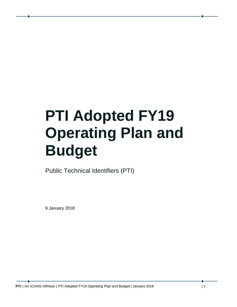# **PTI Adopted FY19 Operating Plan and Budget**

Public Technical Identifiers (PTI)

9 January 2018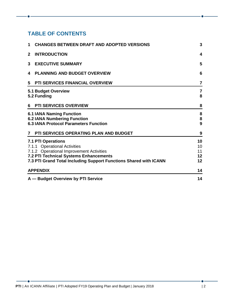#### **TABLE OF CONTENTS**

| <b>CHANGES BETWEEN DRAFT AND ADOPTED VERSIONS</b><br>1                                                                                                                                                                      | 3                          |
|-----------------------------------------------------------------------------------------------------------------------------------------------------------------------------------------------------------------------------|----------------------------|
| <b>INTRODUCTION</b><br>$\mathbf{2}$                                                                                                                                                                                         | 4                          |
| <b>EXECUTIVE SUMMARY</b><br>3                                                                                                                                                                                               | 5                          |
| <b>PLANNING AND BUDGET OVERVIEW</b><br>4                                                                                                                                                                                    | 6                          |
| <b>PTI SERVICES FINANCIAL OVERVIEW</b><br>5                                                                                                                                                                                 | $\overline{7}$             |
| <b>5.1 Budget Overview</b><br>5.2 Funding                                                                                                                                                                                   | $\overline{7}$<br>8        |
| <b>PTI SERVICES OVERVIEW</b><br>6                                                                                                                                                                                           | 8                          |
| <b>6.1 IANA Naming Function</b><br><b>6.2 IANA Numbering Function</b><br><b>6.3 IANA Protocol Parameters Function</b>                                                                                                       | 8<br>${\bf 8}$<br>9        |
| PTI SERVICES OPERATING PLAN AND BUDGET<br>7                                                                                                                                                                                 | 9                          |
| <b>7.1 PTI Operations</b><br>7.1.1 Operational Activities<br>7.1.2 Operational Improvement Activities<br><b>7.2 PTI Technical Systems Enhancements</b><br>7.3 PTI Grand Total Including Support Functions Shared with ICANN | 10<br>10<br>11<br>12<br>12 |
| <b>APPENDIX</b>                                                                                                                                                                                                             | 14                         |
| A - Budget Overview by PTI Service                                                                                                                                                                                          | 14                         |

 $\bullet$  –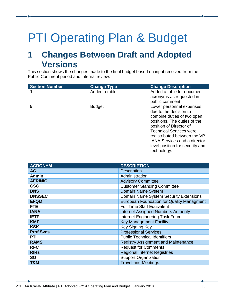# PTI Operating Plan & Budget

## <span id="page-2-0"></span>**1 Changes Between Draft and Adopted Versions**

This section shows the changes made to the final budget based on input received from the Public Comment period and internal review.

| <b>Section Number</b> | <b>Change Type</b> | <b>Change Description</b>                                                                                                                                                                                                                                                  |
|-----------------------|--------------------|----------------------------------------------------------------------------------------------------------------------------------------------------------------------------------------------------------------------------------------------------------------------------|
|                       | Added a table      | Added a table for document<br>acronyms as requested in                                                                                                                                                                                                                     |
| 5                     | <b>Budget</b>      | public comment<br>Lower personnel expenses                                                                                                                                                                                                                                 |
|                       |                    | due to the decision to<br>combine duties of two open<br>positions. The duties of the<br>position of Director of<br><b>Technical Services were</b><br>redistributed between the VP<br><b>IANA Services and a director</b><br>level position for security and<br>technology. |

| <b>ACRONYM</b>   | <b>DESCRIPTION</b>                               |
|------------------|--------------------------------------------------|
| <b>AC</b>        | <b>Description</b>                               |
| <b>Admin</b>     | Administration                                   |
| <b>AFRINIC</b>   | <b>Advisory Committee</b>                        |
| <b>CSC</b>       | <b>Customer Standing Committee</b>               |
| <b>DNS</b>       | Domain Name System                               |
| <b>DNSSEC</b>    | Domain Name System Security Extensions           |
| <b>EFQM</b>      | <b>European Foundation for Quality Managment</b> |
| <b>FTE</b>       | <b>Full Time Staff Equivalent</b>                |
| <b>IANA</b>      | <b>Internet Assigned Numbers Authority</b>       |
| <b>IETF</b>      | <b>Internet Engineering Task Force</b>           |
| <b>KMF</b>       | <b>Key Management Facility</b>                   |
| <b>KSK</b>       | Key Signing Key                                  |
| <b>Prof Svcs</b> | <b>Professional Services</b>                     |
| <b>PTI</b>       | <b>Public Technical Identifiers</b>              |
| <b>RAMS</b>      | <b>Registry Assignment and Maintenance</b>       |
| <b>RFC</b>       | <b>Request for Comments</b>                      |
| <b>RIRs</b>      | <b>Regional Internet Registries</b>              |
| <b>SO</b>        | <b>Support Organization</b>                      |
| T&M              | <b>Travel and Meetings</b>                       |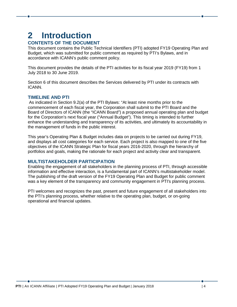#### <span id="page-3-0"></span>**2 Introduction CONTENTS OF THE DOCUMENT**

This document contains the Public Technical Identifiers (PTI) adopted FY19 Operating Plan and Budget, which was submitted for public comment as required by PTI's Bylaws, and in accordance with ICANN's public comment policy.

This document provides the details of the PTI activities for its fiscal year 2019 (FY19) from 1 July 2018 to 30 June 2019.

Section 6 of this document describes the Services delivered by PTI under its contracts with ICANN.

#### **TIMELINE AND PTI**

As indicated in Section 9.2(a) of the PTI Bylaws: "At least nine months prior to the commencement of each fiscal year, the Corporation shall submit to the PTI Board and the Board of Directors of ICANN (the "ICANN Board") a proposed annual operating plan and budget for the Corporation's next fiscal year ("Annual Budget"). This timing is intended to further enhance the understanding and transparency of its activities, and ultimately its accountability in the management of funds in the public interest.

This year's Operating Plan & Budget includes data on projects to be carried out during FY19, and displays all cost categories for each service. Each project is also mapped to one of the five objectives of the ICANN Strategic Plan for fiscal years 2016-2020, through the hierarchy of portfolios and goals, making the rationale for each project and activity clear and transparent.

#### **MULTISTAKEHOLDER PARTICIPATION**

Enabling the engagement of all stakeholders in the planning process of PTI, through accessible information and effective interaction, is a fundamental part of ICANN's multistakeholder model. The publishing of the draft version of the FY19 Operating Plan and Budget for public comment was a key element of the transparency and community engagement in PTI's planning process.

PTI welcomes and recognizes the past, present and future engagement of all stakeholders into the PTI's planning process, whether relative to the operating plan, budget, or on-going operational and financial updates.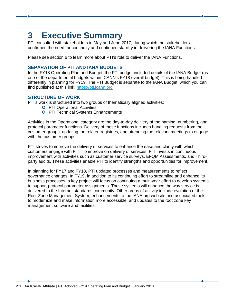# <span id="page-4-0"></span>**3 Executive Summary**

PTI consulted with stakeholders in May and June 2017, during which the stakeholders confirmed the need for continuity and continued stability in delivering the IANA Functions.

Please see section 6 to learn more about PTI's role to deliver the IANA Functions.

#### **SEPARATION OF PTI AND IANA BUDGETS**

In the FY18 Operating Plan and Budget, the PTI budget included details of the IANA Budget (as one of the departmental budgets within ICANN's FY18 overall budget). This is being handled differently in planning for FY19. The PTI Budget is separate to the IANA Budget, which you can find published at this link: [https://pti.icann.org](https://pti.icann.org/)

#### **STRUCTURE OF WORK**

PTI's work is structured into two groups of thematically aligned activities:

- **O** PTI Operational Activities
- **O** PTI Technical Systems Enhancements

Activities in the Operational category are the day-to-day delivery of the naming, numbering, and protocol parameter functions. Delivery of these functions includes handling requests from the customer groups, updating the related registries, and attending the relevant meetings to engage with the customer groups.

PTI strives to improve the delivery of services to enhance the ease and clarity with which customers engage with PTI. To improve on delivery of services, PTI invests in continuous improvement with activities such as customer service surveys, EFQM Assessments, and Thirdparty audits. These activities enable PTI to identify strengths and opportunities for improvement.

In planning for FY17 and FY18, PTI updated processes and measurements to reflect governance changes. In FY19, in addition to its continuing effort to streamline and enhance its business processes, a key project will focus on continuing a multi-year effort to develop systems to support protocol parameter assignments. These systems will enhance the way service is delivered to the Internet standards community. Other areas of activity include evolution of the Root Zone Management System, enhancements to the IANA.org website and associated tools to modernize and make information more accessible, and updates to the root zone key management software and facilities.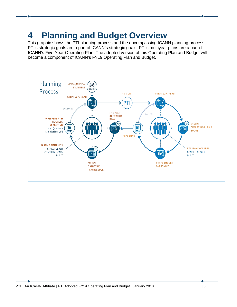# <span id="page-5-0"></span>**4 Planning and Budget Overview**

This graphic shows the PTI planning process and the encompassing ICANN planning process. PTI's strategic goals are a part of ICANN's strategic goals. PTI's multiyear plans are a part of ICANN's Five-Year Operating Plan. The adopted version of this Operating Plan and Budget will become a component of ICANN's FY19 Operating Plan and Budget.

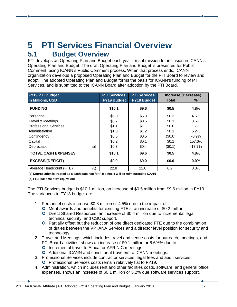## <span id="page-6-0"></span>**5 PTI Services Financial Overview 5.1 Budget Overview**

<span id="page-6-1"></span>PTI develops an Operating Plan and Budget each year for submission for inclusion in ICANN's Operating Plan and Budget. The draft Operating Plan and Budget is presented for Public Comment, using ICANN's Public Comment process. When that process ends, ICANN organization develops a proposed Operating Plan and Budget for the PTI Board to review and adopt. The adopted Operating Plan and Budget forms the basis for ICANN's funding of PTI Services, and is submitted to the ICANN Board after adoption by the PTI Board.

| <b>FY19 PTI Budget</b>         | <b>PTI Services</b> | <b>PTI Services</b> |         | Increase/(Decrease) |
|--------------------------------|---------------------|---------------------|---------|---------------------|
| in Millions, USD               | <b>FY19 Budget</b>  | <b>FY18 Budget</b>  | Total   | ℅                   |
| <b>FUNDING</b>                 | \$10.1              | \$9.6               | \$0.5   | 4.8%                |
| Personnel                      | \$6.0               | \$5.8\$             | \$0.3   | 4.5%                |
| <b>Travel &amp; Meetings</b>   | \$0.7               | \$0.6\$             | \$0.1   | 8.6%                |
| <b>Professional Services</b>   | \$1.1               | \$1.1               | \$0.0   | 1.7%                |
| Administration                 | \$1.3               | \$1.2               | \$0.1   | 5.2%                |
| Contingency                    | \$0.5               | \$0.5               | (\$0.0) | $-0.9%$             |
| Capital                        | \$0.2\$             | \$0.1               | \$0.1   | 157.6%              |
| Depreciation<br>(a)            | \$0.3               | \$0.4               | (\$0.1) | $-17.7%$            |
| <b>TOTAL CASH EXPENSES</b>     | \$10.1              | \$9.6               | \$0.5   | 4.8%                |
| <b>EXCESS/(DEFICIT)</b>        | \$0.0               | \$0.0               | \$0.0   | 0.0%                |
| Average Headcount (FTE)<br>(b) | 22.8                | 22.6                | 0.2     | 0.8%                |

**(a) Depreciation is treated as a cash expense for PTI since it will be reimbursed to ICANN**

**(b) FTE: Full-time staff equivalent**

The PTI Services budget is \$10.1 million, an increase of \$0.5 million from \$9.6 million in FY19. The variances to FY18 budget are:

- 1. Personnel costs increase \$0.3 million or 4.5% due to the impact of:
	- Merit awards and benefits for existing FTE's, an increase of \$0.2 million
	- Direct Shared Resources: an increase of \$0.4 million due to incremental legal, technical security, and CSC Support.
	- Partially offset but the reduction of one direct dedicated FTE due to the combination of duties between the VP IANA Services and a director level position for security and technology.
- 2. Travel and Meetings, which includes travel and venue costs for outreach, meetings, and PTI Board activities, shows an increase of \$0.1 million or 8.6%% due to:
	- **O** Incremental travel to Africa for AFRINIC meetings.
	- **O** Additional ICANN and constituent travelers to ICANN meetings.
- 3. Professional Services include contractor services, legal fees and audit services.
	- **O** Professional Services costs remain relatively flat to FY19.
- 4. Administration, which includes rent and other facilities costs, software, and general office expenses, shows an increase of \$0.1 million or 5.2% due software services support.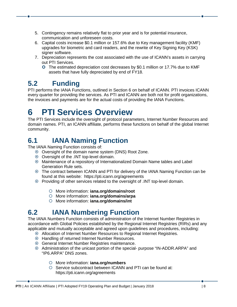- 5. Contingency remains relatively flat to prior year and is for potential insurance, communication and unforeseen costs.
- 6. Capital costs increase \$0.1 million or 157.6% due to Key management facility (KMF) upgrades for biometric and card readers, and the rewrite of Key Signing Key (KSK) signer software.
- 7. Depreciation represents the cost associated with the use of ICANN's assets in carrying out PTI Services.
	- The estimated depreciation cost decreases by \$0.1 million or 17.7% due to KMF assets that have fully depreciated by end of FY18.

#### <span id="page-7-0"></span>**5.2 Funding**

PTI performs the IANA Functions, outlined in Section 6 on behalf of ICANN. PTI invoices ICANN every quarter for providing the services. As PTI and ICANN are both not for profit organizations, the invoices and payments are for the actual costs of providing the IANA Functions.

## <span id="page-7-1"></span>**6 PTI Services Overview**

The PTI Services include the oversight of protocol parameters, Internet Number Resources and domain names. PTI, an ICANN affiliate, performs these functions on behalf of the global Internet community.

### <span id="page-7-2"></span>**6.1 IANA Naming Function**

The IANA Naming Function consists of:

- Oversight of the domain name system (DNS) Root Zone.
- Oversight of the .INT top-level domain.
- Maintenance of a repository of Internationalized Domain Name tables and Label Generation Rule sets.
- The contract between ICANN and PTI for delivery of the IANA Naming Function can be found at this website: https://pti.icann.org/agreements
- Providing of other services related to the oversight of .INT top-level domain.
	- More information: **iana.org/domains/root**
	- More information: **iana.org/domains/arpa**
	- More information: **iana.org/domains/int**

#### <span id="page-7-3"></span>**6.2 IANA Numbering Function**

The IANA Numbers Function consists of administration of the Internet Number Registries in accordance with Global Policies established by the Regional Internet Registries (RIRs) and any applicable and mutually acceptable and agreed upon guidelines and procedures, including:

- Allocation of Internet Number Resources to Regional Internet Registries.
- Handling of returned Internet Number Resources.
- General Internet Number Registries maintenance.
- Administration of the unicast portion of the special- purpose "IN-ADDR.ARPA" and "IP6.ARPA" DNS zones.
	- More information: **iana.org/numbers**
	- O Service subcontract between ICANN and PTI can be found at: https://pti.icann.org/agreements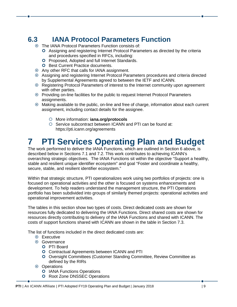#### <span id="page-8-0"></span>**6.3 IANA Protocol Parameters Function**

- The IANA Protocol Parameters Function consists of:
	- Assigning and registering Internet Protocol Parameters as directed by the criteria and procedures specified in RFCs, including:
	- **O** Proposed, Adopted and full Internet Standards.
	- **O** Best Current Practice documents.
- Any other RFC that calls for IANA assignment.
- Assigning and registering Internet Protocol Parameters procedures and criteria directed by Supplemental Agreements agreed to between the IETF and ICANN.
- Registering Protocol Parameters of interest to the Internet community upon agreement with other parties.
- Providing on-line facilities for the public to request Internet Protocol Parameters assignments.
- Making available to the public, on-line and free of charge, information about each current assignment, including contact details for the assignee.
	- More information: **iana.org/protocols**
	- O Service subcontract between ICANN and PTI can be found at: https://pti.icann.org/agreements

## <span id="page-8-1"></span>**7 PTI Services Operating Plan and Budget**

The work performed to deliver the IANA Functions, which are outlined in Section 6 above, is described below in Sections 7.1 and 7.2. This work contributes to achieving ICANN's overarching strategic objectives. The IANA Functions sit within the objective "Support a healthy, stable and resilient unique identifier ecosystem" and goal "Foster and coordinate a healthy, secure, stable, and resilient identifier ecosystem."

Within that strategic structure, PTI operationalizes work using two portfolios of projects: one is focused on operational activities and the other is focused on systems enhancements and development. To help readers understand the management structure, the PTI Operations portfolio has been subdivided into groups of similarly themed projects: operational activities and operational improvement activities.

The tables in this section show two types of costs. Direct dedicated costs are shown for resources fully dedicated to delivering the IANA Functions. Direct shared costs are shown for resources directly contributing to delivery of the IANA Functions and shared with ICANN. The costs of support functions shared with ICANN are shown in the table in Section 7.3.

The list of functions included in the direct dedicated costs are:

- **☉** Executive
- **⊙** Governance
	- **O** PTI Board
	- **O** Contractual Agreements between ICANN and PTI
	- Oversight Committees (Customer Standing Committee, Review Committee as defined by the RIRs
- **⊙** Operations
	- **O** IANA Functions Operations
	- **O** Root Zone DNSSEC Operations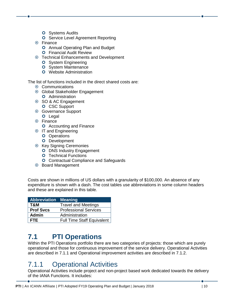- **O** Systems Audits
- **O** Service Level Agreement Reporting
- Finance
	- **O** Annual Operating Plan and Budget
	- **O** Financial Audit Review
- Technical Enhancements and Development
	- **O** System Engineering
	- **O** System Maintenance
	- **O** Website Administration

The list of functions included in the direct shared costs are:

- **☉ Communications**
- Global Stakeholder Engagement
	- **O** Administration
- **◎ SO & AC Engagement O** CSC Support
- Governance Support **O** Legal
- **⊙** Finance
	- **O** Accounting and Finance
- **IT and Engineering** 
	- **O** Operations
	- **O** Development
- **Key Signing Ceremonies** 
	- **O** DNS Industry Engagement
	- **O** Technical Functions
	- **O** Contractual Compliance and Safeguards
- **Board Management**

Costs are shown in millions of US dollars with a granularity of \$100,000. An absence of any expenditure is shown with a dash. The cost tables use abbreviations in some column headers and these are explained in this table.

| <b>Abbreviation Meaning</b> |                                   |
|-----------------------------|-----------------------------------|
| T&M                         | <b>Travel and Meetings</b>        |
| <b>Prof Svcs</b>            | <b>Professional Services</b>      |
| Admin                       | Administration                    |
| I FTE.                      | <b>Full Time Staff Equivalent</b> |

#### <span id="page-9-0"></span>**7.1 PTI Operations**

Within the PTI Operations portfolio there are two categories of projects: those which are purely operational and those for continuous improvement of the service delivery. Operational Activities are described in 7.1.1 and Operational improvement activities are described in 7.1.2.

#### <span id="page-9-1"></span>7.1.1 Operational Activities

Operational Activities include project and non-project based work dedicated towards the delivery of the IANA Functions. It includes: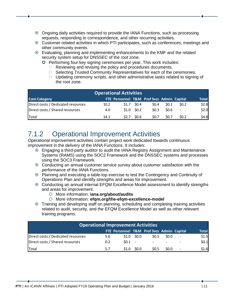- Ongoing daily activities required to provide the IANA Functions, such as processing requests, responding to correspondence, and other recurring activities.
- Customer-related activities in which PTI participates, such as conferences, meetings and other community events.
- Evaluating, planning and implementing enhancements to the KMF and the related security system setup for DNSSEC of the root zone.
	- **O** Performing four key signing ceremonies per year. This work includes:
		- $\Box$  Reviewing and revising the policy and procedures documents.
		- □ Selecting Trusted Community Representatives for each of the ceremonies.
		- $\Box$  Updating ceremony scripts, and other administrative tasks related to signing of the root zone.

| <b>Operational Activities</b>      |      |                                           |              |                  |                  |        |              |
|------------------------------------|------|-------------------------------------------|--------------|------------------|------------------|--------|--------------|
| <b>Cost Category</b>               |      | FTE Personnel T&M Prof Svcs Admin Capital |              |                  |                  |        | <b>Total</b> |
| Direct costs / Dedicated resources | 10.2 | S1.7                                      | \$0.4\$      | \$0.4\$          | S <sub>0.1</sub> | SO.2   | \$2.8        |
| Direct costs / Shared resources    | 4.0  |                                           | $$1.0$ \$0.2 | 50.3             | \$0.6\$          | $\sim$ | \$2.0        |
| Total                              | 14.1 | S2.7                                      | \$0.6        | S <sub>0.7</sub> | S <sub>0.7</sub> | \$0.2  | \$4.8        |

#### <span id="page-10-0"></span>7.1.2 Operational Improvement Activities

Operational improvement activities contain project work dedicated towards continuous improvement in the delivery of the IANA Functions. It includes:

- Engaging a third-party auditor to audit the IANA Registry Assignment and Maintenance Systems (RAMS) using the SOC2 Framework and the DNSSEC systems and processes using the SOC3 Framework.
- Conducting an annual customer service survey about customer satisfaction with the performance of the IANA Functions.
- Planning and executing a table-top exercise to test the Contingency and Continuity of Operations Plan and identify strengths and areas for improvement.
- Conducting an annual internal EFQM Excellence Model assessment to identify strengths and areas for improvement.
	- More information: **iana.org/about/audits**
	- More information: **efqm.org/the-efqm-excellence-model**
- Training and developing staff on planning, scheduling and completing training activities related to audit, security, and the EFQM Excellence Model as well as other relevant training programs.

| <b>Operational Improvement Activities</b> |     |          |              |                                           |             |                |              |  |
|-------------------------------------------|-----|----------|--------------|-------------------------------------------|-------------|----------------|--------------|--|
|                                           |     |          |              | FTE Personnel T&M Prof Svcs Admin Capital |             |                | <b>Total</b> |  |
| Direct costs / Dedicated resources        | 5.6 |          | $$1.0$ \$0.0 | S <sub>0.5</sub>                          | <b>SO.O</b> | $\sim$         | \$1.5        |  |
| Direct costs / Shared resources           | 0.2 | $50.1 -$ |              | $\overline{\phantom{a}}$                  |             |                | \$0.1        |  |
| Total                                     | 5.7 | S1.0     | \$0.0        | S <sub>0.5</sub>                          | SO.0        | $\overline{a}$ | \$1.6        |  |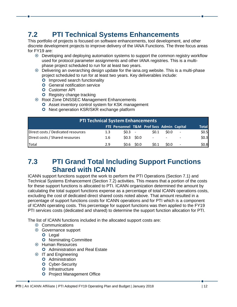#### <span id="page-11-0"></span>**7.2 PTI Technical Systems Enhancements**

This portfolio of projects is focused on software enhancements, tool development, and other discrete development projects to improve delivery of the IANA Functions. The three focus areas for FY19 are:

- Developing and deploying automation systems to support the common registry workflow used for protocol parameter assignments and other IANA registries. This is a multiphase project scheduled to run for at least two years.
- Delivering an overarching design update for the iana.org website. This is a multi-phase project scheduled to run for at least two years. Key deliverables include:
	- **O** Improved search functionality
	- **O** General notification service
	- **O** Customer API
	- **O** Registry change tracking
- Root Zone DNSSEC Management Enhancements
	- **O** Asset inventory control system for KSK management
	- **O** Next generation KSR/SKR exchange platform

| <b>PTI Technical System Enhancements</b> |     |      |              |                                           |      |                          |                  |
|------------------------------------------|-----|------|--------------|-------------------------------------------|------|--------------------------|------------------|
|                                          |     |      |              | FTE Personnel T&M Prof Svcs Admin Capital |      |                          | <b>Total</b>     |
| Direct costs / Dedicated resources       | 1.3 | SO.3 |              | 50.1                                      | SO.0 |                          | $$0.5$<br>$$0.3$ |
| Direct costs / Shared resources          | 1.6 |      | $$0.3$ \$0.0 |                                           |      |                          |                  |
| Total                                    | 2.9 | SO.6 | \$0.0        | 50.1                                      | SO.0 | $\overline{\phantom{a}}$ | \$0.8]           |

#### <span id="page-11-1"></span>**7.3 PTI Grand Total Including Support Functions Shared with ICANN**

ICANN support functions support the work to perform the PTI Operations (Section 7.1) and Technical Systems Enhancement (Section 7.2) activities. This means that a portion of the costs for these support functions is allocated to PTI. ICANN organization determined the amount by calculating the total support functions expense as a percentage of total ICANN operations costs, excluding the cost of dedicated direct shared costs noted above. That amount resulted in a percentage of support functions costs for ICANN operations and for PTI which is a component of ICANN operating costs. This percentage for support functions was then applied to the FY19 PTI services costs (dedicated and shared) to determine the support function allocation for PTI.

The list of ICANN functions included in the allocated support costs are:

- **⊙** Communications
- Governance support
	- **O** Legal
	- **O** Nominating Committee
- Human Resources
	- **O** Administration and Real Estate
- **IT and Engineering** 
	- **O** Administration
	- **O** Cyber-Security
	- **O** Infrastructure
	- **O** Project Management Office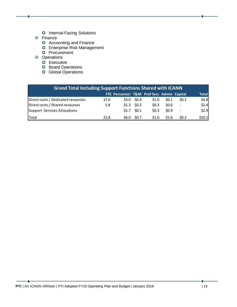- **O** Internal-Facing Solutions
- **⊙** Finance
	- **O** Accounting and Finance
	- Enterprise Risk Management
	- **O** Procurement
- **⊙** Operations
	- Executive
	- **O** Board Operations
	- **O** Global Operations

| <b>Grand Total Including Support Functions Shared with ICANN</b> |      |                                           |                  |       |                  |                          |              |
|------------------------------------------------------------------|------|-------------------------------------------|------------------|-------|------------------|--------------------------|--------------|
|                                                                  |      | FTE Personnel T&M Prof Svcs Admin Capital |                  |       |                  |                          | <b>Total</b> |
| Direct costs / Dedicated resources                               | 17.0 |                                           | $$3.0$ \$0.4     | S1.0  | S <sub>0.1</sub> | SO.2                     | \$4.8        |
| Direct costs / Shared resources                                  | 5.8  |                                           | $$1.3$ \$0.2     | \$0.3 | 50.6             | $\overline{\phantom{a}}$ | \$2.4        |
| Support Services Allocations                                     |      |                                           | $$1.7$ \$0.1     | \$0.3 | \$0.9            | $\sim$                   | \$2.9        |
| Total                                                            | 22.8 | \$6.0                                     | S <sub>0.7</sub> | \$1.6 | \$1.6            | SO.2                     | \$10.1       |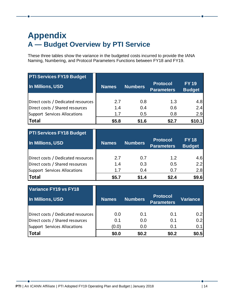### <span id="page-13-1"></span><span id="page-13-0"></span>**Appendix A — Budget Overview by PTI Service**

These three tables show the variance in the budgeted costs incurred to provide the IANA Naming, Numbering, and Protocol Parameters Functions between FY18 and FY19.

| <b>PTI Services FY19 Budget</b>    |              |                |                                      |                               |
|------------------------------------|--------------|----------------|--------------------------------------|-------------------------------|
| In Millions, USD                   | <b>Names</b> | <b>Numbers</b> | <b>Protocol</b><br><b>Parameters</b> | <b>FY 19</b><br><b>Budget</b> |
|                                    |              |                |                                      |                               |
| Direct costs / Dedicated resources | 2.7          | 0.8            | 1.3                                  | 4.8                           |
| Direct costs / Shared resources    | 1.4          | 0.4            | 0.6                                  | 2.4                           |
| Support Services Allocations       | 1.7          | 0.5            | 0.8                                  | 2.9                           |
| Total                              | \$5.8        | \$1.6          | \$2.7                                | \$10.1                        |

| <b>PTI Services FY18 Budget</b>    |              |                |                                      |                              |
|------------------------------------|--------------|----------------|--------------------------------------|------------------------------|
| In Millions, USD                   | <b>Names</b> | <b>Numbers</b> | <b>Protocol</b><br><b>Parameters</b> | <b>FY18</b><br><b>Budget</b> |
|                                    |              |                |                                      |                              |
| Direct costs / Dedicated resources | 2.7          | 0.7            | 1.2                                  | 4.6                          |
| Direct costs / Shared resources    | 1.4          | 0.3            | 0.5                                  | 2.2                          |
| Support Services Allocations       | 1.7          | 0.4            | 0.7                                  | 2.8                          |
| Total                              | \$5.7        | \$1.4          | \$2.4                                | \$9.6                        |

| Variance FY19 vs FY18              |              |                |                                      |                 |
|------------------------------------|--------------|----------------|--------------------------------------|-----------------|
| In Millions, USD                   | <b>Names</b> | <b>Numbers</b> | <b>Protocol</b><br><b>Parameters</b> | <b>Variance</b> |
|                                    |              |                |                                      |                 |
| Direct costs / Dedicated resources | 0.0          | 0.1            | 0.1                                  | 0.2             |
| Direct costs / Shared resources    | 0.1          | 0.0            | 0.1                                  | 0.2             |
| Support Services Allocations       | (0.0)        | 0.0            | 0.1                                  | 0.1             |
| Total                              | \$0.0        | \$0.2          | \$0.2                                | \$0.5           |